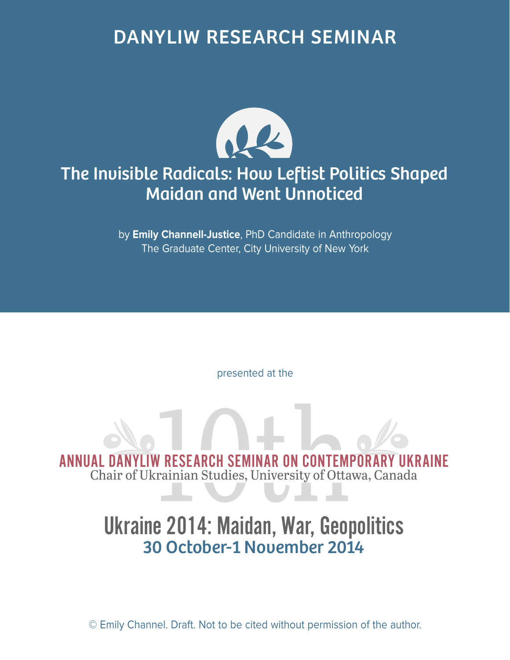## DANYLIW RESEARCH SEMINAR



### The Invisible Radicals: How Leftist Politics Shaped Maidan and Went Unnoticed

by **Emily Channell-Justice**, PhD Candidate in Anthropology The Graduate Center, City University of New York

presented at the

ANNUAL DANYLIW RESEARCH SEMINAR ON CONTEMPORARY UKRAINE<br>Chair of Ukrainian Studies, University of Ottawa, Canada Chair of Ukrainian Studies, University of Ottawa, Canada

# Ukraine 2014: Maidan, War, Geopolitics 30 October-1 November 2014

© Emily Channel. Draft. Not to be cited without permission of the author.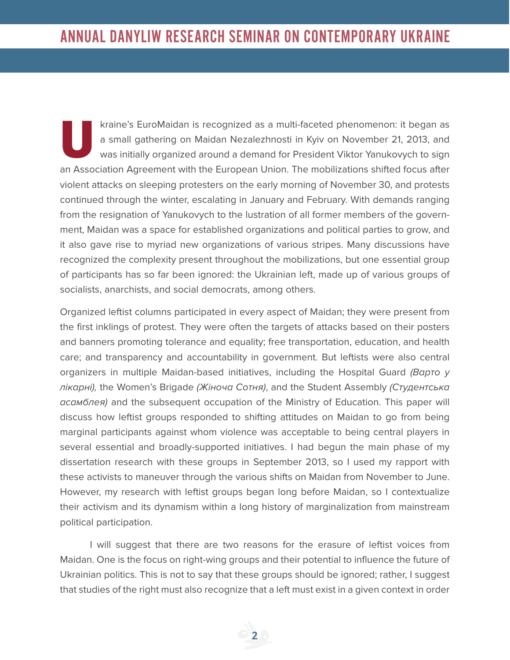kraine's EuroMaidan is recognized as a multi-faceted phenomenon: it began as<br>a small gathering on Maidan Nezalezhnosti in Kyiv on November 21, 2013, and<br>was initially organized around a demand for President Viktor Yanukovy a small gathering on Maidan Nezalezhnosti in Kyiv on November 21, 2013, and was initially organized around a demand for President Viktor Yanukovych to sign an Association Agreement with the European Union. The mobilizations shifted focus after violent attacks on sleeping protesters on the early morning of November 30, and protests continued through the winter, escalating in January and February. With demands ranging from the resignation of Yanukovych to the lustration of all former members of the government, Maidan was a space for established organizations and political parties to grow, and it also gave rise to myriad new organizations of various stripes. Many discussions have recognized the complexity present throughout the mobilizations, but one essential group of participants has so far been ignored: the Ukrainian left, made up of various groups of socialists, anarchists, and social democrats, among others.

Organized leftist columns participated in every aspect of Maidan; they were present from the first inklings of protest. They were often the targets of attacks based on their posters and banners promoting tolerance and equality; free transportation, education, and health care; and transparency and accountability in government. But leftists were also central organizers in multiple Maidan-based initiatives, including the Hospital Guard (Bapto y лікарні), the Women's Brigade (Жіноча Сотня), and the Student Assembly (Студентська асамблея) and the subsequent occupation of the Ministry of Education. This paper will discuss how leftist groups responded to shifting attitudes on Maidan to go from being marginal participants against whom violence was acceptable to being central players in several essential and broadly-supported initiatives. I had begun the main phase of my dissertation research with these groups in September 2013, so I used my rapport with these activists to maneuver through the various shifts on Maidan from November to June. However, my research with leftist groups began long before Maidan, so I contextualize their activism and its dynamism within a long history of marginalization from mainstream political participation.

I will suggest that there are two reasons for the erasure of leftist voices from Maidan. One is the focus on right-wing groups and their potential to influence the future of Ukrainian politics. This is not to say that these groups should be ignored; rather, I suggest that studies of the right must also recognize that a left must exist in a given context in order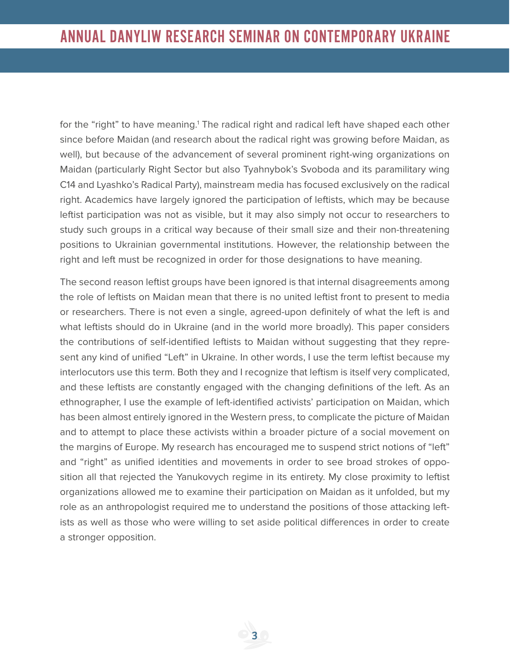for the "right" to have meaning.<sup>1</sup> The radical right and radical left have shaped each other since before Maidan (and research about the radical right was growing before Maidan, as well), but because of the advancement of several prominent right-wing organizations on Maidan (particularly Right Sector but also Tyahnybok's Svoboda and its paramilitary wing C14 and Lyashko's Radical Party), mainstream media has focused exclusively on the radical right. Academics have largely ignored the participation of leftists, which may be because leftist participation was not as visible, but it may also simply not occur to researchers to study such groups in a critical way because of their small size and their non-threatening positions to Ukrainian governmental institutions. However, the relationship between the right and left must be recognized in order for those designations to have meaning.

The second reason leftist groups have been ignored is that internal disagreements among the role of leftists on Maidan mean that there is no united leftist front to present to media or researchers. There is not even a single, agreed-upon definitely of what the left is and what leftists should do in Ukraine (and in the world more broadly). This paper considers the contributions of self-identified leftists to Maidan without suggesting that they represent any kind of unified "Left" in Ukraine. In other words, I use the term leftist because my interlocutors use this term. Both they and I recognize that leftism is itself very complicated, and these leftists are constantly engaged with the changing definitions of the left. As an ethnographer, I use the example of left-identified activists' participation on Maidan, which has been almost entirely ignored in the Western press, to complicate the picture of Maidan and to attempt to place these activists within a broader picture of a social movement on the margins of Europe. My research has encouraged me to suspend strict notions of "left" and "right" as unified identities and movements in order to see broad strokes of opposition all that rejected the Yanukovych regime in its entirety. My close proximity to leftist organizations allowed me to examine their participation on Maidan as it unfolded, but my role as an anthropologist required me to understand the positions of those attacking leftists as well as those who were willing to set aside political differences in order to create a stronger opposition.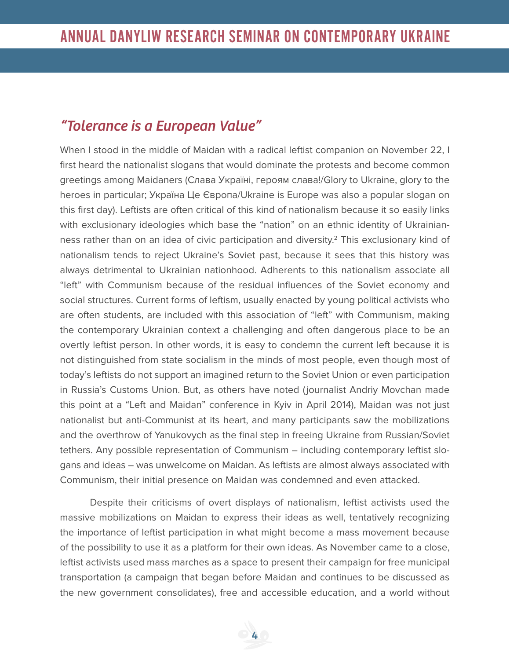#### *"Tolerance is a European Value"*

When I stood in the middle of Maidan with a radical leftist companion on November 22, I first heard the nationalist slogans that would dominate the protests and become common greetings among Maidaners (Слава Україні, героям cлава!/Glory to Ukraine, glory to the heroes in particular; Україна Це Європа/Ukraine is Europe was also a popular slogan on this first day). Leftists are often critical of this kind of nationalism because it so easily links with exclusionary ideologies which base the "nation" on an ethnic identity of Ukrainianness rather than on an idea of civic participation and diversity.2 This exclusionary kind of nationalism tends to reject Ukraine's Soviet past, because it sees that this history was always detrimental to Ukrainian nationhood. Adherents to this nationalism associate all "left" with Communism because of the residual influences of the Soviet economy and social structures. Current forms of leftism, usually enacted by young political activists who are often students, are included with this association of "left" with Communism, making the contemporary Ukrainian context a challenging and often dangerous place to be an overtly leftist person. In other words, it is easy to condemn the current left because it is not distinguished from state socialism in the minds of most people, even though most of today's leftists do not support an imagined return to the Soviet Union or even participation in Russia's Customs Union. But, as others have noted (journalist Andriy Movchan made this point at a "Left and Maidan" conference in Kyiv in April 2014), Maidan was not just nationalist but anti-Communist at its heart, and many participants saw the mobilizations and the overthrow of Yanukovych as the final step in freeing Ukraine from Russian/Soviet tethers. Any possible representation of Communism – including contemporary leftist slogans and ideas – was unwelcome on Maidan. As leftists are almost always associated with Communism, their initial presence on Maidan was condemned and even attacked.

Despite their criticisms of overt displays of nationalism, leftist activists used the massive mobilizations on Maidan to express their ideas as well, tentatively recognizing the importance of leftist participation in what might become a mass movement because of the possibility to use it as a platform for their own ideas. As November came to a close, leftist activists used mass marches as a space to present their campaign for free municipal transportation (a campaign that began before Maidan and continues to be discussed as the new government consolidates), free and accessible education, and a world without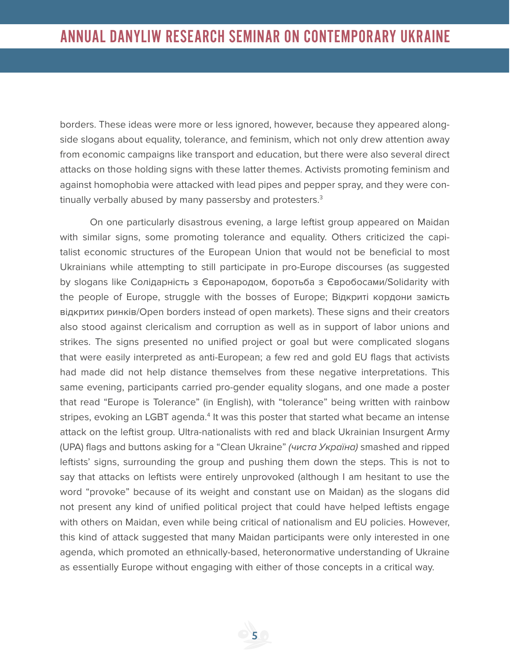borders. These ideas were more or less ignored, however, because they appeared alongside slogans about equality, tolerance, and feminism, which not only drew attention away from economic campaigns like transport and education, but there were also several direct attacks on those holding signs with these latter themes. Activists promoting feminism and against homophobia were attacked with lead pipes and pepper spray, and they were continually verbally abused by many passersby and protesters.<sup>3</sup>

On one particularly disastrous evening, a large leftist group appeared on Maidan with similar signs, some promoting tolerance and equality. Others criticized the capitalist economic structures of the European Union that would not be beneficial to most Ukrainians while attempting to still participate in pro-Europe discourses (as suggested by slogans like Солідарність з Євронародом, боротьба з Євробосами/Solidarity with the people of Europe, struggle with the bosses of Europe; Відкриті кордони замість відкритих ринків/Open borders instead of open markets). These signs and their creators also stood against clericalism and corruption as well as in support of labor unions and strikes. The signs presented no unified project or goal but were complicated slogans that were easily interpreted as anti-European; a few red and gold EU flags that activists had made did not help distance themselves from these negative interpretations. This same evening, participants carried pro-gender equality slogans, and one made a poster that read "Europe is Tolerance" (in English), with "tolerance" being written with rainbow stripes, evoking an LGBT agenda.<sup>4</sup> It was this poster that started what became an intense attack on the leftist group. Ultra-nationalists with red and black Ukrainian Insurgent Army (UPA) flags and buttons asking for a "Clean Ukraine" (чиста Україна) smashed and ripped leftists' signs, surrounding the group and pushing them down the steps. This is not to say that attacks on leftists were entirely unprovoked (although I am hesitant to use the word "provoke" because of its weight and constant use on Maidan) as the slogans did not present any kind of unified political project that could have helped leftists engage with others on Maidan, even while being critical of nationalism and EU policies. However, this kind of attack suggested that many Maidan participants were only interested in one agenda, which promoted an ethnically-based, heteronormative understanding of Ukraine as essentially Europe without engaging with either of those concepts in a critical way.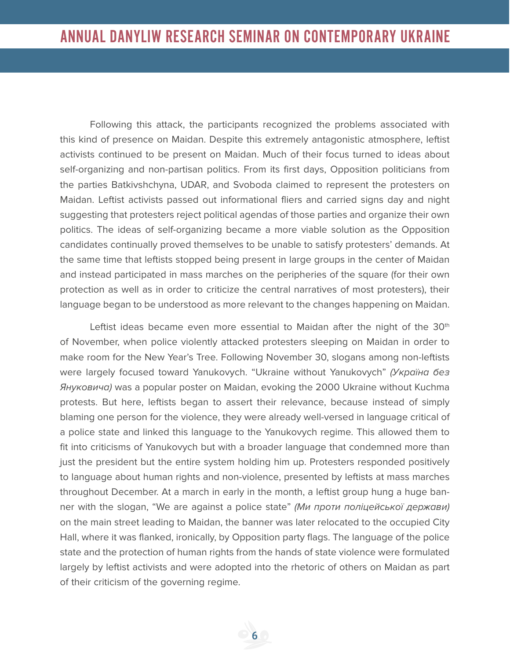Following this attack, the participants recognized the problems associated with this kind of presence on Maidan. Despite this extremely antagonistic atmosphere, leftist activists continued to be present on Maidan. Much of their focus turned to ideas about self-organizing and non-partisan politics. From its first days, Opposition politicians from the parties Batkivshchyna, UDAR, and Svoboda claimed to represent the protesters on Maidan. Leftist activists passed out informational fliers and carried signs day and night suggesting that protesters reject political agendas of those parties and organize their own politics. The ideas of self-organizing became a more viable solution as the Opposition candidates continually proved themselves to be unable to satisfy protesters' demands. At the same time that leftists stopped being present in large groups in the center of Maidan and instead participated in mass marches on the peripheries of the square (for their own protection as well as in order to criticize the central narratives of most protesters), their language began to be understood as more relevant to the changes happening on Maidan.

Leftist ideas became even more essential to Maidan after the night of the  $30<sup>th</sup>$ of November, when police violently attacked protesters sleeping on Maidan in order to make room for the New Year's Tree. Following November 30, slogans among non-leftists were largely focused toward Yanukovych. "Ukraine without Yanukovych" (Україна без Януковича) was a popular poster on Maidan, evoking the 2000 Ukraine without Kuchma protests. But here, leftists began to assert their relevance, because instead of simply blaming one person for the violence, they were already well-versed in language critical of a police state and linked this language to the Yanukovych regime. This allowed them to fit into criticisms of Yanukovych but with a broader language that condemned more than just the president but the entire system holding him up. Protesters responded positively to language about human rights and non-violence, presented by leftists at mass marches throughout December. At a march in early in the month, a leftist group hung a huge banner with the slogan, "We are against a police state" (Mи проти поліцейської держави) on the main street leading to Maidan, the banner was later relocated to the occupied City Hall, where it was flanked, ironically, by Opposition party flags. The language of the police state and the protection of human rights from the hands of state violence were formulated largely by leftist activists and were adopted into the rhetoric of others on Maidan as part of their criticism of the governing regime.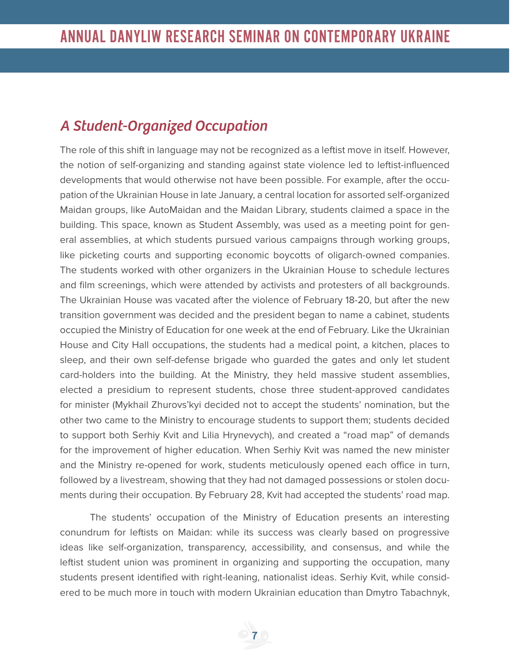#### *A Student-Organized Occupation*

The role of this shift in language may not be recognized as a leftist move in itself. However, the notion of self-organizing and standing against state violence led to leftist-influenced developments that would otherwise not have been possible. For example, after the occupation of the Ukrainian House in late January, a central location for assorted self-organized Maidan groups, like AutoMaidan and the Maidan Library, students claimed a space in the building. This space, known as Student Assembly, was used as a meeting point for general assemblies, at which students pursued various campaigns through working groups, like picketing courts and supporting economic boycotts of oligarch-owned companies. The students worked with other organizers in the Ukrainian House to schedule lectures and film screenings, which were attended by activists and protesters of all backgrounds. The Ukrainian House was vacated after the violence of February 18-20, but after the new transition government was decided and the president began to name a cabinet, students occupied the Ministry of Education for one week at the end of February. Like the Ukrainian House and City Hall occupations, the students had a medical point, a kitchen, places to sleep, and their own self-defense brigade who guarded the gates and only let student card-holders into the building. At the Ministry, they held massive student assemblies, elected a presidium to represent students, chose three student-approved candidates for minister (Mykhail Zhurovs'kyi decided not to accept the students' nomination, but the other two came to the Ministry to encourage students to support them; students decided to support both Serhiy Kvit and Lilia Hrynevych), and created a "road map" of demands for the improvement of higher education. When Serhiy Kvit was named the new minister and the Ministry re-opened for work, students meticulously opened each office in turn, followed by a livestream, showing that they had not damaged possessions or stolen documents during their occupation. By February 28, Kvit had accepted the students' road map.

The students' occupation of the Ministry of Education presents an interesting conundrum for leftists on Maidan: while its success was clearly based on progressive ideas like self-organization, transparency, accessibility, and consensus, and while the leftist student union was prominent in organizing and supporting the occupation, many students present identified with right-leaning, nationalist ideas. Serhiy Kvit, while considered to be much more in touch with modern Ukrainian education than Dmytro Tabachnyk,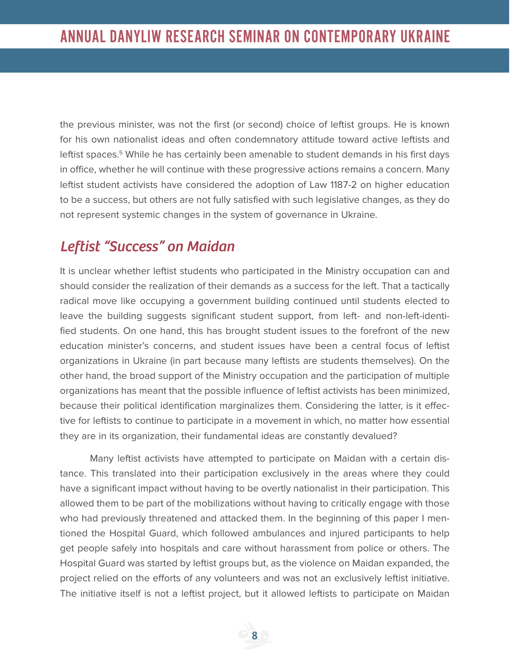the previous minister, was not the first (or second) choice of leftist groups. He is known for his own nationalist ideas and often condemnatory attitude toward active leftists and leftist spaces.<sup>5</sup> While he has certainly been amenable to student demands in his first days in office, whether he will continue with these progressive actions remains a concern. Many leftist student activists have considered the adoption of Law 1187-2 on higher education to be a success, but others are not fully satisfied with such legislative changes, as they do not represent systemic changes in the system of governance in Ukraine.

#### *Leftist "Success" on Maidan*

It is unclear whether leftist students who participated in the Ministry occupation can and should consider the realization of their demands as a success for the left. That a tactically radical move like occupying a government building continued until students elected to leave the building suggests significant student support, from left- and non-left-identified students. On one hand, this has brought student issues to the forefront of the new education minister's concerns, and student issues have been a central focus of leftist organizations in Ukraine (in part because many leftists are students themselves). On the other hand, the broad support of the Ministry occupation and the participation of multiple organizations has meant that the possible influence of leftist activists has been minimized, because their political identification marginalizes them. Considering the latter, is it effective for leftists to continue to participate in a movement in which, no matter how essential they are in its organization, their fundamental ideas are constantly devalued?

Many leftist activists have attempted to participate on Maidan with a certain distance. This translated into their participation exclusively in the areas where they could have a significant impact without having to be overtly nationalist in their participation. This allowed them to be part of the mobilizations without having to critically engage with those who had previously threatened and attacked them. In the beginning of this paper I mentioned the Hospital Guard, which followed ambulances and injured participants to help get people safely into hospitals and care without harassment from police or others. The Hospital Guard was started by leftist groups but, as the violence on Maidan expanded, the project relied on the efforts of any volunteers and was not an exclusively leftist initiative. The initiative itself is not a leftist project, but it allowed leftists to participate on Maidan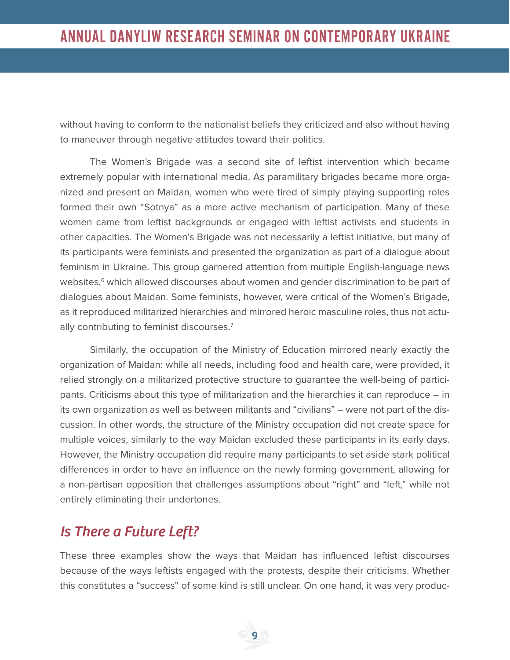without having to conform to the nationalist beliefs they criticized and also without having to maneuver through negative attitudes toward their politics.

The Women's Brigade was a second site of leftist intervention which became extremely popular with international media. As paramilitary brigades became more organized and present on Maidan, women who were tired of simply playing supporting roles formed their own "Sotnya" as a more active mechanism of participation. Many of these women came from leftist backgrounds or engaged with leftist activists and students in other capacities. The Women's Brigade was not necessarily a leftist initiative, but many of its participants were feminists and presented the organization as part of a dialogue about feminism in Ukraine. This group garnered attention from multiple English-language news websites,<sup>6</sup> which allowed discourses about women and gender discrimination to be part of dialogues about Maidan. Some feminists, however, were critical of the Women's Brigade, as it reproduced militarized hierarchies and mirrored heroic masculine roles, thus not actually contributing to feminist discourses.<sup>7</sup>

Similarly, the occupation of the Ministry of Education mirrored nearly exactly the organization of Maidan: while all needs, including food and health care, were provided, it relied strongly on a militarized protective structure to guarantee the well-being of participants. Criticisms about this type of militarization and the hierarchies it can reproduce – in its own organization as well as between militants and "civilians" – were not part of the discussion. In other words, the structure of the Ministry occupation did not create space for multiple voices, similarly to the way Maidan excluded these participants in its early days. However, the Ministry occupation did require many participants to set aside stark political differences in order to have an influence on the newly forming government, allowing for a non-partisan opposition that challenges assumptions about "right" and "left," while not entirely eliminating their undertones.

#### *Is There a Future Left?*

These three examples show the ways that Maidan has influenced leftist discourses because of the ways leftists engaged with the protests, despite their criticisms. Whether this constitutes a "success" of some kind is still unclear. On one hand, it was very produc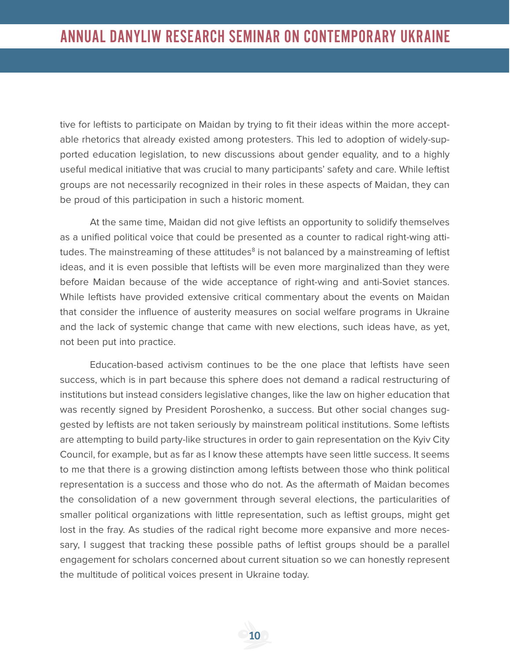tive for leftists to participate on Maidan by trying to fit their ideas within the more acceptable rhetorics that already existed among protesters. This led to adoption of widely-supported education legislation, to new discussions about gender equality, and to a highly useful medical initiative that was crucial to many participants' safety and care. While leftist groups are not necessarily recognized in their roles in these aspects of Maidan, they can be proud of this participation in such a historic moment.

At the same time, Maidan did not give leftists an opportunity to solidify themselves as a unified political voice that could be presented as a counter to radical right-wing attitudes. The mainstreaming of these attitudes<sup>8</sup> is not balanced by a mainstreaming of leftist ideas, and it is even possible that leftists will be even more marginalized than they were before Maidan because of the wide acceptance of right-wing and anti-Soviet stances. While leftists have provided extensive critical commentary about the events on Maidan that consider the influence of austerity measures on social welfare programs in Ukraine and the lack of systemic change that came with new elections, such ideas have, as yet, not been put into practice.

Education-based activism continues to be the one place that leftists have seen success, which is in part because this sphere does not demand a radical restructuring of institutions but instead considers legislative changes, like the law on higher education that was recently signed by President Poroshenko, a success. But other social changes suggested by leftists are not taken seriously by mainstream political institutions. Some leftists are attempting to build party-like structures in order to gain representation on the Kyiv City Council, for example, but as far as I know these attempts have seen little success. It seems to me that there is a growing distinction among leftists between those who think political representation is a success and those who do not. As the aftermath of Maidan becomes the consolidation of a new government through several elections, the particularities of smaller political organizations with little representation, such as leftist groups, might get lost in the fray. As studies of the radical right become more expansive and more necessary, I suggest that tracking these possible paths of leftist groups should be a parallel engagement for scholars concerned about current situation so we can honestly represent the multitude of political voices present in Ukraine today.